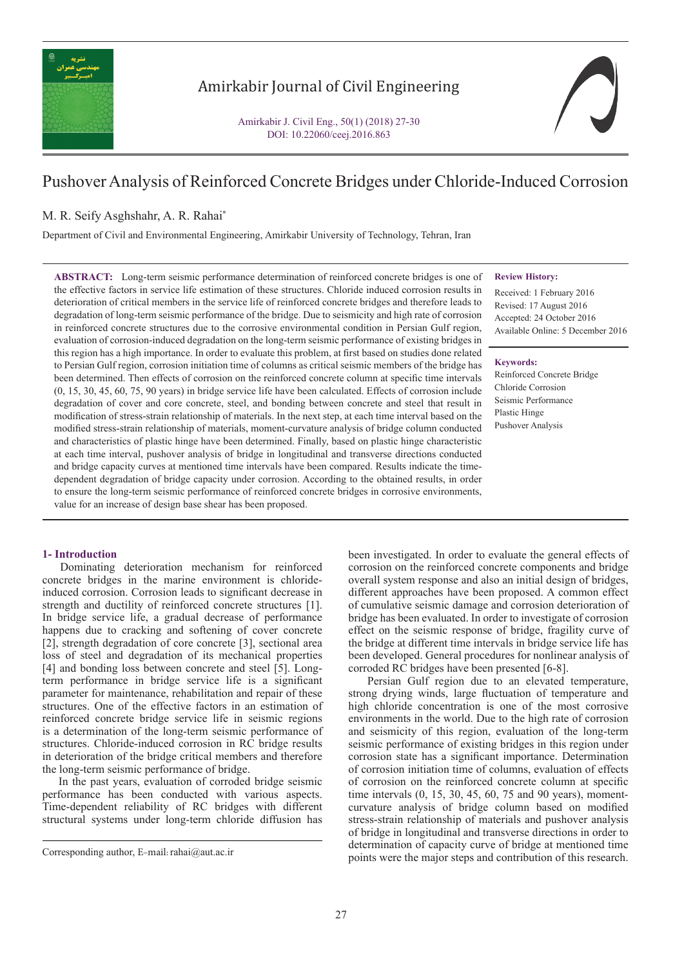

# Amirkabir Journal of Civil Engineering

Amirkabir J. Civil Eng., 50(1) (2018) 27-30 DOI: 10.22060/ceej.2016.863

# Pushover Analysis of Reinforced Concrete Bridges under Chloride-Induced Corrosion

## M. R. Seify Asghshahr, A. R. Rahai\*

Department of Civil and Environmental Engineering, Amirkabir University of Technology, Tehran, Iran

**ABSTRACT:** Long-term seismic performance determination of reinforced concrete bridges is one of the effective factors in service life estimation of these structures. Chloride induced corrosion results in deterioration of critical members in the service life of reinforced concrete bridges and therefore leads to degradation of long-term seismic performance of the bridge. Due to seismicity and high rate of corrosion in reinforced concrete structures due to the corrosive environmental condition in Persian Gulf region, evaluation of corrosion-induced degradation on the long-term seismic performance of existing bridges in this region has a high importance. In order to evaluate this problem, at first based on studies done related to Persian Gulf region, corrosion initiation time of columns as critical seismic members of the bridge has been determined. Then effects of corrosion on the reinforced concrete column at specific time intervals (0, 15, 30, 45, 60, 75, 90 years) in bridge service life have been calculated. Effects of corrosion include degradation of cover and core concrete, steel, and bonding between concrete and steel that result in modification of stress-strain relationship of materials. In the next step, at each time interval based on the modified stress-strain relationship of materials, moment-curvature analysis of bridge column conducted and characteristics of plastic hinge have been determined. Finally, based on plastic hinge characteristic at each time interval, pushover analysis of bridge in longitudinal and transverse directions conducted and bridge capacity curves at mentioned time intervals have been compared. Results indicate the timedependent degradation of bridge capacity under corrosion. According to the obtained results, in order to ensure the long-term seismic performance of reinforced concrete bridges in corrosive environments, value for an increase of design base shear has been proposed.

## **1- Introduction**

 Dominating deterioration mechanism for reinforced concrete bridges in the marine environment is chlorideinduced corrosion. Corrosion leads to significant decrease in strength and ductility of reinforced concrete structures [1]. In bridge service life, a gradual decrease of performance happens due to cracking and softening of cover concrete [2], strength degradation of core concrete [3], sectional area loss of steel and degradation of its mechanical properties [4] and bonding loss between concrete and steel [5]. Longterm performance in bridge service life is a significant parameter for maintenance, rehabilitation and repair of these structures. One of the effective factors in an estimation of reinforced concrete bridge service life in seismic regions is a determination of the long-term seismic performance of structures. Chloride-induced corrosion in RC bridge results in deterioration of the bridge critical members and therefore the long-term seismic performance of bridge.

 In the past years, evaluation of corroded bridge seismic performance has been conducted with various aspects. Time-dependent reliability of RC bridges with different structural systems under long-term chloride diffusion has

**Review History:**

Received: 1 February 2016 Revised: 17 August 2016 Accepted: 24 October 2016 Available Online: 5 December 2016

#### **Keywords:**

Reinforced Concrete Bridge Chloride Corrosion Seismic Performance Plastic Hinge Pushover Analysis

been investigated. In order to evaluate the general effects of corrosion on the reinforced concrete components and bridge overall system response and also an initial design of bridges, different approaches have been proposed. A common effect of cumulative seismic damage and corrosion deterioration of bridge has been evaluated. In order to investigate of corrosion effect on the seismic response of bridge, fragility curve of the bridge at different time intervals in bridge service life has been developed. General procedures for nonlinear analysis of corroded RC bridges have been presented [6-8].

 Persian Gulf region due to an elevated temperature, strong drying winds, large fluctuation of temperature and high chloride concentration is one of the most corrosive environments in the world. Due to the high rate of corrosion and seismicity of this region, evaluation of the long-term seismic performance of existing bridges in this region under corrosion state has a significant importance. Determination of corrosion initiation time of columns, evaluation of effects of corrosion on the reinforced concrete column at specific time intervals (0, 15, 30, 45, 60, 75 and 90 years), momentcurvature analysis of bridge column based on modified stress-strain relationship of materials and pushover analysis of bridge in longitudinal and transverse directions in order to determination of capacity curve of bridge at mentioned time points were the major steps and contribution of this research. Corresponding author, E-mail: rahai@aut.ac.ir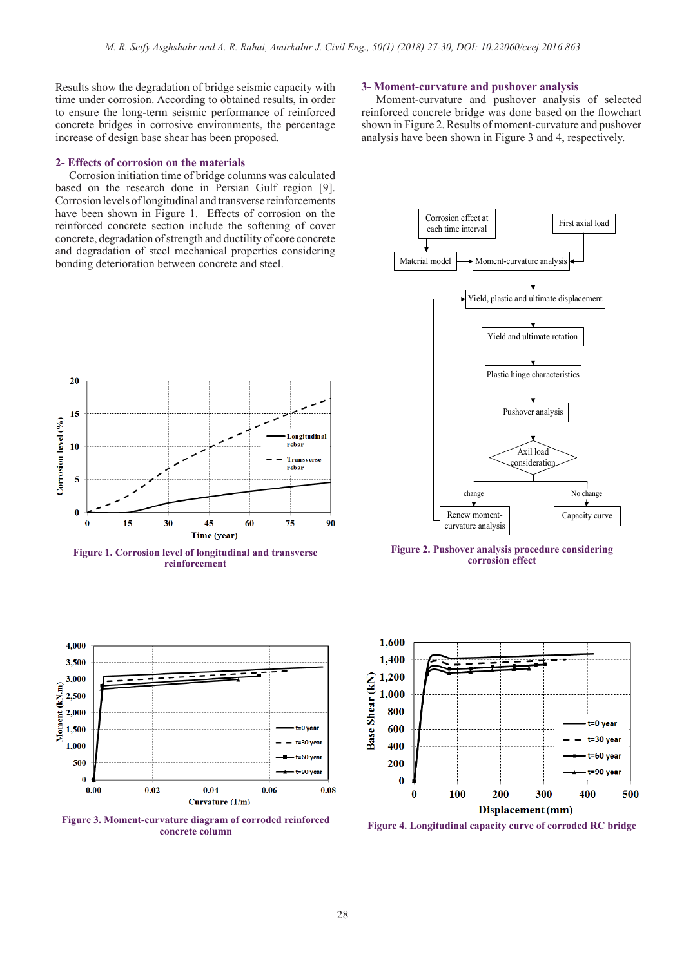ongitudin al rebar

**Transverse** rebar

t-30 vea

 $.90v$ 

 $0.08$ 

 $0.06$ 

75

90

Results show the degradation of bridge seismic capacity with time under corrosion. According to obtained results, in order to ensure the long-term seismic performance of reinforced concrete bridges in corrosive environments, the percentage increase of design base shear has been proposed.

### **2- Effects of corrosion on the materials**

20

15

10

5

 $\mathbf{0}$ 

4.000

3.500

3,000

2,500

2,000

 $1,500$ 

1,000

500

 $0.00$ 

Moment (kN.m)

 $\mathbf{0}$ 

15

Corrosion level (%)

 Corrosion initiation time of bridge columns was calculated based on the research done in Persian Gulf region [9]. Corrosion levels of longitudinal and transverse reinforcements have been shown in Figure 1. Effects of corrosion on the reinforced concrete section include the softening of cover concrete, degradation of strength and ductility of core concrete and degradation of steel mechanical properties considering bonding deterioration between concrete and steel.



 Moment-curvature and pushover analysis of selected reinforced concrete bridge was done based on the flowchart shown in Figure 2. Results of moment-curvature and pushover analysis have been shown in Figure 3 and 4, respectively.



**Figure 2. Pushover analysis procedure considering corrosion effect**



**Figure 3. Moment-curvature diagram of corroded reinforced concrete column Figure 4. Longitudinal capacity curve of corroded RC bridge**

 $0.04$ 

Curvature (1/m)

 $0.02$ 

**Figure 1. Corrosion level of longitudinal and transverse reinforcement** 

45

Time (year)

60

 $30^{\circ}$